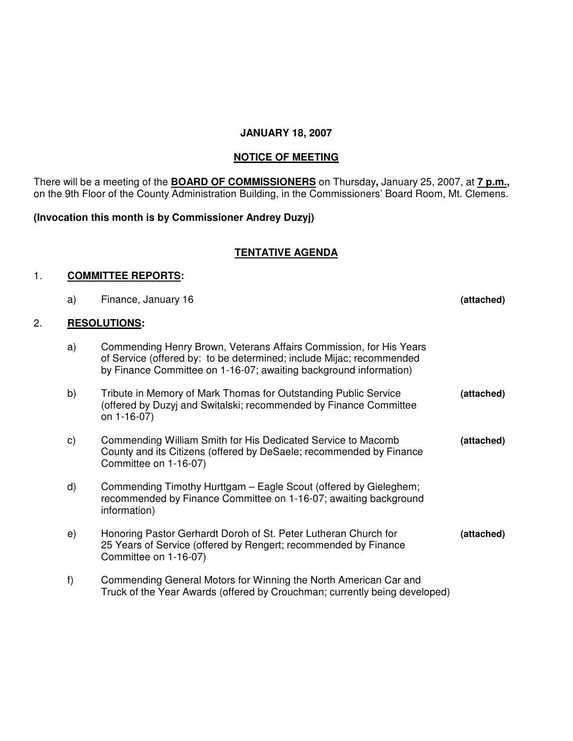### **JANUARY 18, 2007**

# **NOTICE OF MEETING**

There will be a meeting of the **BOARD OF COMMISSIONERS** on Thursday**,** January 25, 2007, at **7 p.m.,** on the 9th Floor of the County Administration Building, in the Commissioners' Board Room, Mt. Clemens.

# **(Invocation this month is by Commissioner Andrey Duzyj)**

### **TENTATIVE AGENDA**

#### 1. **COMMITTEE REPORTS:**

|    | a) | Finance, January 16                                                                                                                                                                                             | (attached) |
|----|----|-----------------------------------------------------------------------------------------------------------------------------------------------------------------------------------------------------------------|------------|
| 2. |    | <b>RESOLUTIONS:</b>                                                                                                                                                                                             |            |
|    | a) | Commending Henry Brown, Veterans Affairs Commission, for His Years<br>of Service (offered by: to be determined; include Mijac; recommended<br>by Finance Committee on 1-16-07; awaiting background information) |            |
|    | b) | Tribute in Memory of Mark Thomas for Outstanding Public Service<br>(offered by Duzyj and Switalski; recommended by Finance Committee<br>on 1-16-07)                                                             | (attached) |
|    | C) | Commending William Smith for His Dedicated Service to Macomb<br>County and its Citizens (offered by DeSaele; recommended by Finance<br>Committee on 1-16-07)                                                    | (attached) |
|    | d) | Commending Timothy Hurttgam - Eagle Scout (offered by Gieleghem;<br>recommended by Finance Committee on 1-16-07; awaiting background<br>information)                                                            |            |
|    | e) | Honoring Pastor Gerhardt Doroh of St. Peter Lutheran Church for<br>25 Years of Service (offered by Rengert; recommended by Finance<br>Committee on 1-16-07)                                                     | (attached) |
|    | f) | Commending General Motors for Winning the North American Car and<br>Truck of the Year Awards (offered by Crouchman; currently being developed)                                                                  |            |